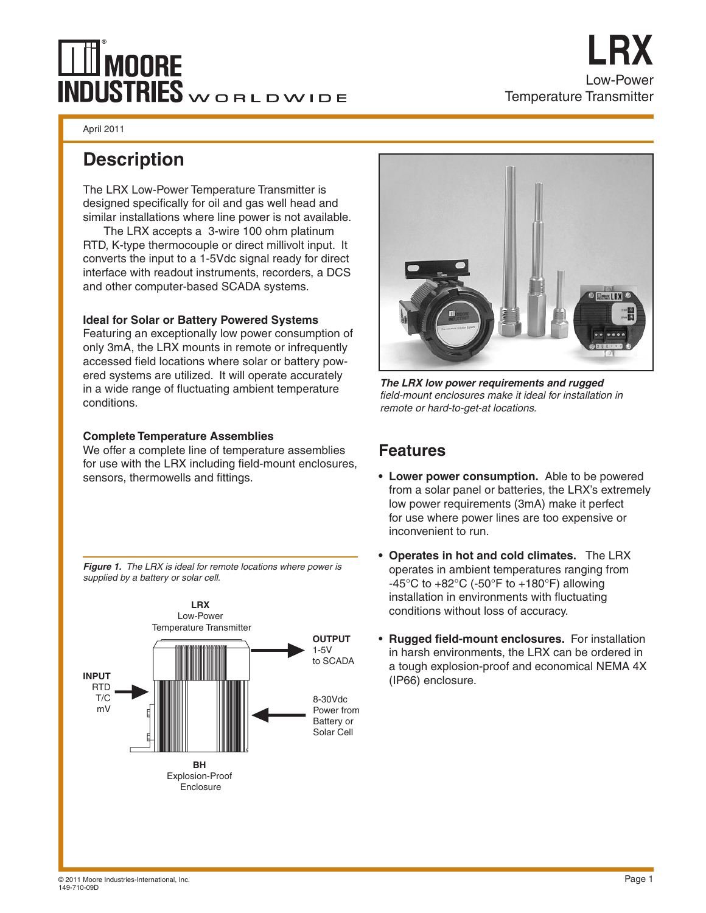# $\mathbb H$ Moore INDUSTRIES WORLDWIDE

April 2011

## **Description**

The LRX Low-Power Temperature Transmitter is designed specifically for oil and gas well head and similar installations where line power is not available.

The LRX accepts a 3-wire 100 ohm platinum RTD, K-type thermocouple or direct millivolt input. It converts the input to a 1-5Vdc signal ready for direct interface with readout instruments, recorders, a DCS and other computer-based SCADA systems.

### **Ideal for Solar or Battery Powered Systems**

Featuring an exceptionally low power consumption of only 3mA, the LRX mounts in remote or infrequently accessed field locations where solar or battery powered systems are utilized. It will operate accurately in a wide range of fluctuating ambient temperature conditions.

## **Complete Temperature Assemblies**

We offer a complete line of temperature assemblies for use with the LRX including field-mount enclosures, sensors, thermowells and fittings.



*Figure 1. The LRX is ideal for remote locations where power is supplied by a battery or solar cell.*



Low-Power

**LRX**

Temperature Transmitter

*The LRX low power requirements and rugged field-mount enclosures make it ideal for installation in remote or hard-to-get-at locations.*

## **Features**

- **• Lower power consumption.** Able to be powered from a solar panel or batteries, the LRX's extremely low power requirements (3mA) make it perfect for use where power lines are too expensive or inconvenient to run.
- **• Operates in hot and cold climates.** The LRX operates in ambient temperatures ranging from -45°C to +82°C (-50°F to +180°F) allowing installation in environments with fluctuating conditions without loss of accuracy.
- • **Rugged field-mount enclosures.** For installation in harsh environments, the LRX can be ordered in a tough explosion-proof and economical NEMA 4X (IP66) enclosure.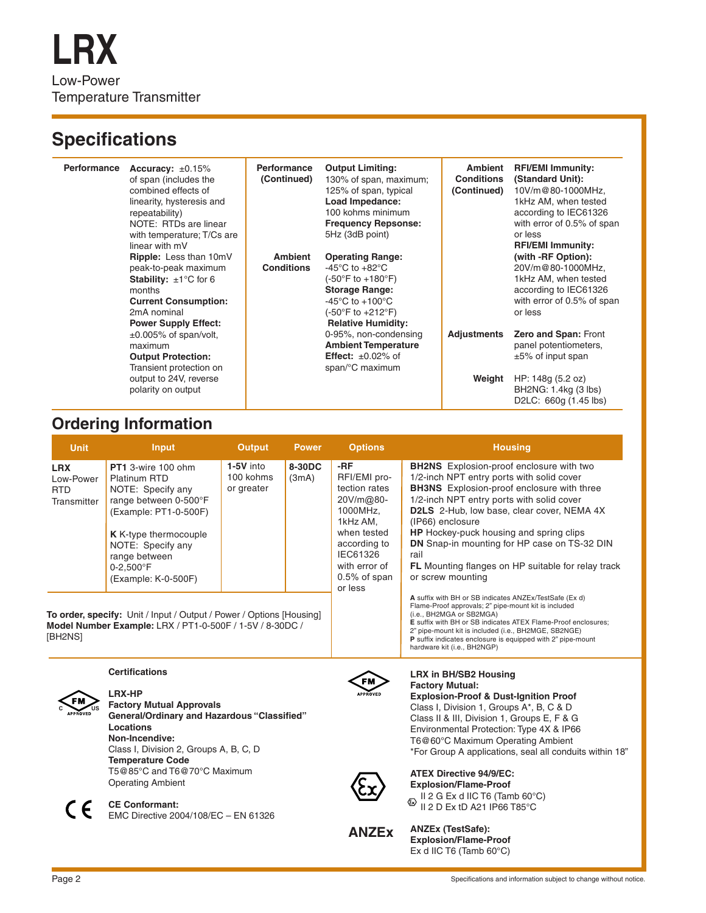# **Specifications**

| <b>Performance</b> | Accuracy: $\pm 0.15\%$<br>of span (includes the<br>combined effects of<br>linearity, hysteresis and<br>repeatability)<br>NOTE: RTDs are linear<br>with temperature; T/Cs are<br>linear with mV | <b>Performance</b><br>(Continued)   | <b>Output Limiting:</b><br>130% of span, maximum;<br>125% of span, typical<br>Load Impedance:<br>100 kohms minimum<br><b>Frequency Repsonse:</b><br>5Hz (3dB point)                | <b>Ambient</b><br><b>Conditions</b><br>(Continued) | <b>RFI/EMI Immunity:</b><br>(Standard Unit):<br>10V/m@80-1000MHz,<br>1kHz AM, when tested<br>according to IEC61326<br>with error of 0.5% of span<br>or less<br><b>RFI/EMI Immunity:</b> |
|--------------------|------------------------------------------------------------------------------------------------------------------------------------------------------------------------------------------------|-------------------------------------|------------------------------------------------------------------------------------------------------------------------------------------------------------------------------------|----------------------------------------------------|-----------------------------------------------------------------------------------------------------------------------------------------------------------------------------------------|
|                    | Ripple: Less than 10mV<br>peak-to-peak maximum<br><b>Stability:</b> $\pm 1^{\circ}$ C for 6<br>months<br><b>Current Consumption:</b><br>2mA nominal<br><b>Power Supply Effect:</b>             | <b>Ambient</b><br><b>Conditions</b> | <b>Operating Range:</b><br>-45°C to +82°C<br>(-50°F to +180°F)<br><b>Storage Range:</b><br>-45 $^{\circ}$ C to +100 $^{\circ}$ C<br>(-50°F to +212°F)<br><b>Relative Humidity:</b> |                                                    | (with -RF Option):<br>20V/m@80-1000MHz,<br>1kHz AM, when tested<br>according to IEC61326<br>with error of 0.5% of span<br>or less                                                       |
|                    | $\pm 0.005\%$ of span/volt,<br>maximum<br><b>Output Protection:</b><br>Transient protection on                                                                                                 |                                     | 0-95%, non-condensing<br><b>Ambient Temperature</b><br><b>Effect:</b> $\pm 0.02\%$ of<br>span/°C maximum                                                                           | <b>Adjustments</b>                                 | Zero and Span: Front<br>panel potentiometers,<br>$±5\%$ of input span                                                                                                                   |
|                    | output to 24V, reverse<br>polarity on output                                                                                                                                                   |                                     |                                                                                                                                                                                    | Weight                                             | HP: 148g (5.2 oz)<br>BH2NG: 1.4kg (3 lbs)<br>D2LC: 660g (1.45 lbs)                                                                                                                      |

## **Ordering Information**

| Unit                                                                                                                                        | Input                                                                                                                                                                                                                           | <b>Output</b>                          | <b>Power</b>    | <b>Options</b>                                                                                                                                                     | <b>Housing</b>                                                                                                                                                                                                                                                                                                                                                                                                                                                      |
|---------------------------------------------------------------------------------------------------------------------------------------------|---------------------------------------------------------------------------------------------------------------------------------------------------------------------------------------------------------------------------------|----------------------------------------|-----------------|--------------------------------------------------------------------------------------------------------------------------------------------------------------------|---------------------------------------------------------------------------------------------------------------------------------------------------------------------------------------------------------------------------------------------------------------------------------------------------------------------------------------------------------------------------------------------------------------------------------------------------------------------|
| <b>LRX</b><br>Low-Power<br>RTD<br>Transmitter                                                                                               | <b>PT1</b> 3-wire 100 ohm<br>Platinum RTD<br>NOTE: Specify any<br>range between 0-500°F<br>(Example: PT1-0-500F)<br><b>K</b> K-type thermocouple<br>NOTE: Specify any<br>range between<br>$0 - 2.500$ °F<br>(Example: K-0-500F) | $1-5V$ into<br>100 kohms<br>or greater | 8-30DC<br>(3mA) | -RF<br>RFI/EMI pro-<br>tection rates<br>20V/m@80-<br>1000MHz.<br>1kHz AM.<br>when tested<br>according to<br>IEC61326<br>with error of<br>$0.5%$ of span<br>or less | <b>BH2NS</b> Explosion-proof enclosure with two<br>1/2-inch NPT entry ports with solid cover<br><b>BH3NS</b> Explosion-proof enclosure with three<br>1/2-inch NPT entry ports with solid cover<br><b>D2LS</b> 2-Hub, low base, clear cover, NEMA 4X<br>(IP66) enclosure<br><b>HP</b> Hockey-puck housing and spring clips<br>DN Snap-in mounting for HP case on TS-32 DIN<br>rail<br><b>FL</b> Mounting flanges on HP suitable for relay track<br>or screw mounting |
| To order, specify: Unit / Input / Output / Power / Options [Housing]<br>Model Number Example: LRX / PT1-0-500F / 1-5V / 8-30DC /<br>[BH2NS] |                                                                                                                                                                                                                                 |                                        |                 |                                                                                                                                                                    | A suffix with BH or SB indicates ANZEx/TestSafe (Ex d)<br>Flame-Proof approvals; 2" pipe-mount kit is included<br>(i.e., BH2MGA or SB2MGA)<br>E suffix with BH or SB indicates ATEX Flame-Proof enclosures;<br>2" pipe-mount kit is included (i.e., BH2MGE, SB2NGE)<br>P suffix indicates enclosure is equipped with 2" pipe-mount<br>hardware kit (i.e., BH2NGP)                                                                                                   |

## **Certifications**

**CE Conformant:**



**LRX-HP Factory Mutual Approvals General/Ordinary and Hazardous "Classified" Locations Non-Incendive:** Class I, Division 2, Groups A, B, C, D **Temperature Code** T5@85°C and T6@70°C Maximum Operating Ambient

EMC Directive 2004/108/EC – EN 61326



**ATEX Directive 94/9/EC: Explosion/Flame-Proof**  $\Box$  II 2 G Ex d IIC T6 (Tamb 60°C)  $\tilde{P}$  II 2 D Ex tD A21 IP66 T85°C

**LRX in BH/SB2 Housing Factory Mutual:**

**Explosion-Proof & Dust-Ignition Proof** Class I, Division 1, Groups A\*, B, C & D Class II & III, Division 1, Groups E, F & G Environmental Protection: Type 4X & IP66 T6@60°C Maximum Operating Ambient

\*For Group A applications, seal all conduits within 18"

**ANZEx**

**ANZEx (TestSafe): Explosion/Flame-Proof** Ex d IIC T6 (Tamb 60°C)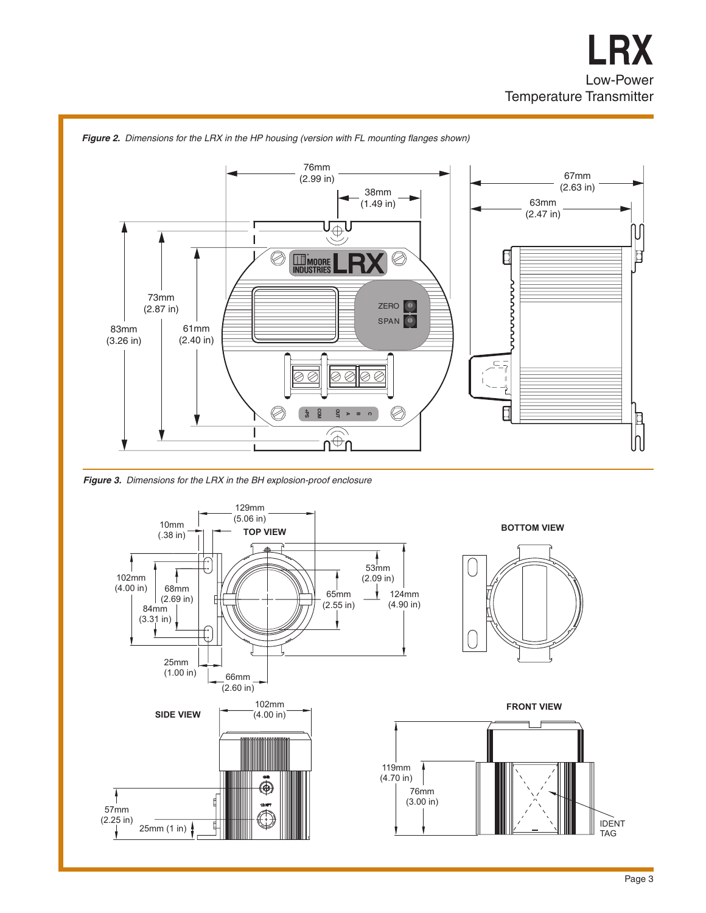

*Figure 2. Dimensions for the LRX in the HP housing (version with FL mounting flanges shown)*

*Figure 3. Dimensions for the LRX in the BH explosion-proof enclosure*